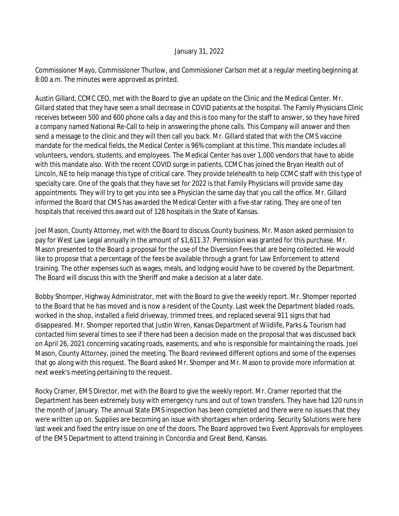## January 31, 2022

Commissioner Mayo, Commissioner Thurlow, and Commissioner Carlson met at a regular meeting beginning at 8:00 a.m. The minutes were approved as printed.

Austin Gillard, CCMC CEO, met with the Board to give an update on the Clinic and the Medical Center. Mr. Gillard stated that they have seen a small decrease in COVID patients at the hospital. The Family Physicians Clinic receives between 500 and 600 phone calls a day and this is too many for the staff to answer, so they have hired a company named National Re-Call to help in answering the phone calls. This Company will answer and then send a message to the clinic and they will then call you back. Mr. Gillard stated that with the CMS vaccine mandate for the medical fields, the Medical Center is 96% compliant at this time. This mandate includes all volunteers, vendors, students, and employees. The Medical Center has over 1,000 vendors that have to abide with this mandate also. With the recent COVID surge in patients, CCMC has joined the Bryan Health out of Lincoln, NE to help manage this type of critical care. They provide telehealth to help CCMC staff with this type of specialty care. One of the goals that they have set for 2022 is that Family Physicians will provide same day appointments. They will try to get you into see a Physician the same day that you call the office. Mr. Gillard informed the Board that CMS has awarded the Medical Center with a five-star rating. They are one of ten hospitals that received this award out of 128 hospitals in the State of Kansas.

Joel Mason, County Attorney, met with the Board to discuss County business. Mr. Mason asked permission to pay for West Law Legal annually in the amount of \$1,611.37. Permission was granted for this purchase. Mr. Mason presented to the Board a proposal for the use of the Diversion Fees that are being collected. He would like to propose that a percentage of the fees be available through a grant for Law Enforcement to attend training. The other expenses such as wages, meals, and lodging would have to be covered by the Department. The Board will discuss this with the Sheriff and make a decision at a later date.

Bobby Shomper, Highway Administrator, met with the Board to give the weekly report. Mr. Shomper reported to the Board that he has moved and is now a resident of the County. Last week the Department bladed roads, worked in the shop, installed a field driveway, trimmed trees, and replaced several 911 signs that had disappeared. Mr. Shomper reported that Justin Wren, Kansas Department of Wildlife, Parks & Tourism had contacted him several times to see if there had been a decision made on the proposal that was discussed back on April 26, 2021 concerning vacating roads, easements, and who is responsible for maintaining the roads. Joel Mason, County Attorney, joined the meeting. The Board reviewed different options and some of the expenses that go along with this request. The Board asked Mr. Shomper and Mr. Mason to provide more information at next week's meeting pertaining to the request.

Rocky Cramer, EMS Director, met with the Board to give the weekly report. Mr. Cramer reported that the Department has been extremely busy with emergency runs and out of town transfers. They have had 120 runs in the month of January. The annual State EMS inspection has been completed and there were no issues that they were written up on. Supplies are becoming an issue with shortages when ordering. Security Solutions were here last week and fixed the entry issue on one of the doors. The Board approved two Event Approvals for employees of the EMS Department to attend training in Concordia and Great Bend, Kansas.